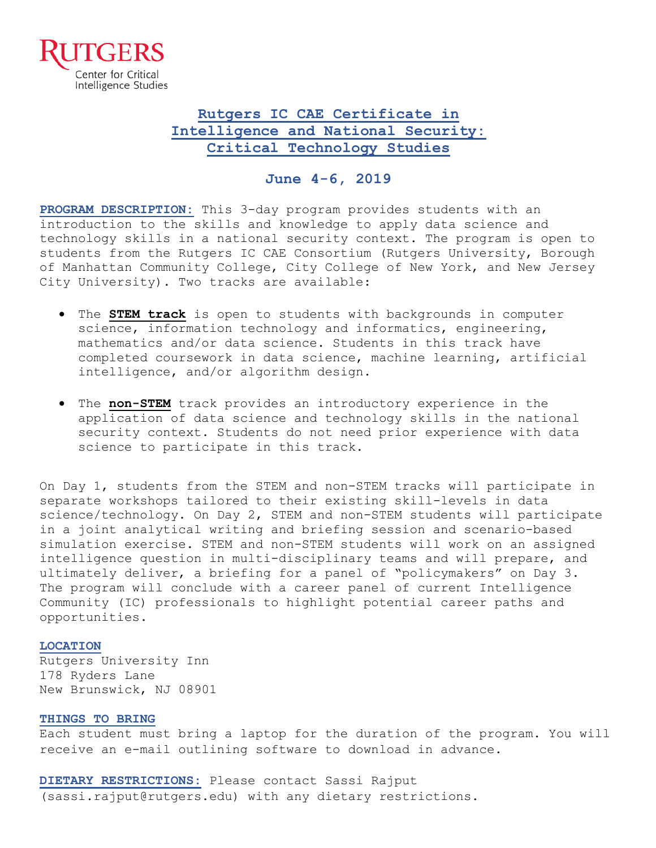

# **Rutgers IC CAE Certificate in Intelligence and National Security: Critical Technology Studies**

### **June 4-6, 2019**

**PROGRAM DESCRIPTION:** This 3-day program provides students with an introduction to the skills and knowledge to apply data science and technology skills in a national security context. The program is open to students from the Rutgers IC CAE Consortium (Rutgers University, Borough of Manhattan Community College, City College of New York, and New Jersey City University). Two tracks are available:

- The **STEM track** is open to students with backgrounds in computer science, information technology and informatics, engineering, mathematics and/or data science. Students in this track have completed coursework in data science, machine learning, artificial intelligence, and/or algorithm design.
- The **non-STEM** track provides an introductory experience in the application of data science and technology skills in the national security context. Students do not need prior experience with data science to participate in this track.

On Day 1, students from the STEM and non-STEM tracks will participate in separate workshops tailored to their existing skill-levels in data science/technology. On Day 2, STEM and non-STEM students will participate in a joint analytical writing and briefing session and scenario-based simulation exercise. STEM and non-STEM students will work on an assigned intelligence question in multi-disciplinary teams and will prepare, and ultimately deliver, a briefing for a panel of "policymakers" on Day 3. The program will conclude with a career panel of current Intelligence Community (IC) professionals to highlight potential career paths and opportunities.

#### **LOCATION**

Rutgers University Inn 178 Ryders Lane New Brunswick, NJ 08901

#### **THINGS TO BRING**

Each student must bring a laptop for the duration of the program. You will receive an e-mail outlining software to download in advance.

**DIETARY RESTRICTIONS:** Please contact Sassi Rajput (sassi.rajput@rutgers.edu) with any dietary restrictions.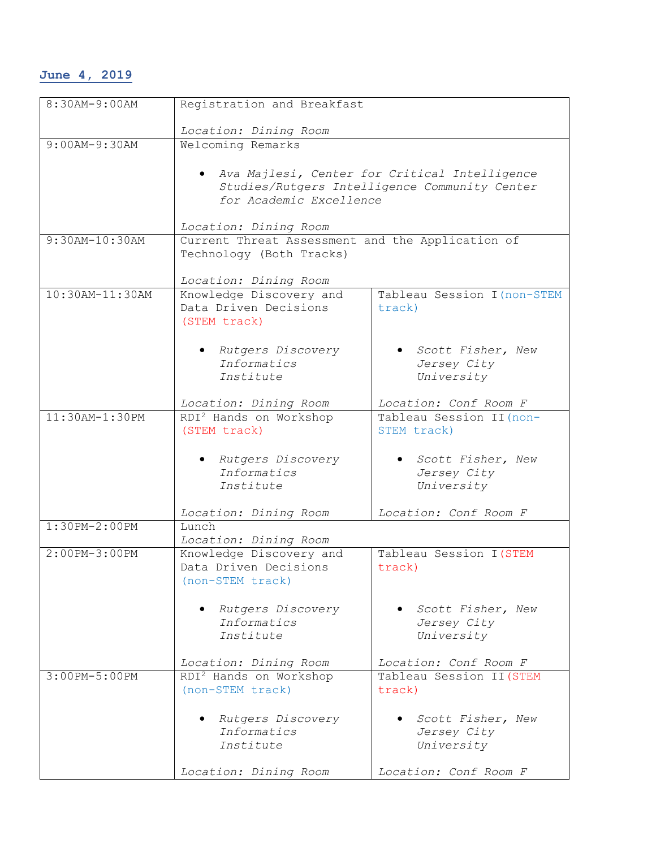## **June 4, 2019**

| 8:30AM-9:00AM    | Registration and Breakfast                       |                                               |
|------------------|--------------------------------------------------|-----------------------------------------------|
|                  |                                                  |                                               |
| $9:00AM-9:30AM$  | Location: Dining Room<br>Welcoming Remarks       |                                               |
|                  |                                                  |                                               |
|                  |                                                  | Ava Majlesi, Center for Critical Intelligence |
|                  |                                                  | Studies/Rutgers Intelligence Community Center |
|                  | for Academic Excellence                          |                                               |
|                  |                                                  |                                               |
|                  | Location: Dining Room                            |                                               |
| 9:30AM-10:30AM   | Current Threat Assessment and the Application of |                                               |
|                  | Technology (Both Tracks)                         |                                               |
|                  | Location: Dining Room                            |                                               |
| 10:30AM-11:30AM  | Knowledge Discovery and                          | Tableau Session I (non-STEM                   |
|                  | Data Driven Decisions                            | track)                                        |
|                  | (STEM track)                                     |                                               |
|                  |                                                  |                                               |
|                  | · Rutgers Discovery                              | Scott Fisher, New                             |
|                  | Informatics                                      | Jersey City                                   |
|                  | Institute                                        | University                                    |
|                  |                                                  |                                               |
|                  | Location: Dining Room                            | Location: Conf Room F                         |
| $11:30AM-1:30PM$ | RDI <sup>2</sup> Hands on Workshop               | Tableau Session II (non-                      |
|                  | (STEM track)                                     | STEM track)                                   |
|                  |                                                  |                                               |
|                  | · Rutgers Discovery                              | • Scott Fisher, New                           |
|                  | Informatics<br>Institute                         | Jersey City<br>University                     |
|                  |                                                  |                                               |
|                  | Location: Dining Room                            | Location: Conf Room F                         |
| 1:30PM-2:00PM    | Lunch                                            |                                               |
|                  | Location: Dining Room                            |                                               |
| 2:00PM-3:00PM    | Knowledge Discovery and                          | Tableau Session I (STEM                       |
|                  | Data Driven Decisions                            | track)                                        |
|                  | (non-STEM track)                                 |                                               |
|                  |                                                  |                                               |
|                  | Rutgers Discovery                                | • Scott Fisher, New                           |
|                  | Informatics                                      | Jersey City                                   |
|                  | Institute                                        | University                                    |
|                  | Location: Dining Room                            | Location: Conf Room F                         |
| 3:00PM-5:00PM    | RDI <sup>2</sup> Hands on Workshop               | Tableau Session II (STEM                      |
|                  | (non-STEM track)                                 | track)                                        |
|                  |                                                  |                                               |
|                  | Rutgers Discovery                                | Scott Fisher, New                             |
|                  | Informatics                                      | Jersey City                                   |
|                  | Institute                                        | University                                    |
|                  |                                                  |                                               |
|                  | Location: Dining Room                            | Location: Conf Room F                         |